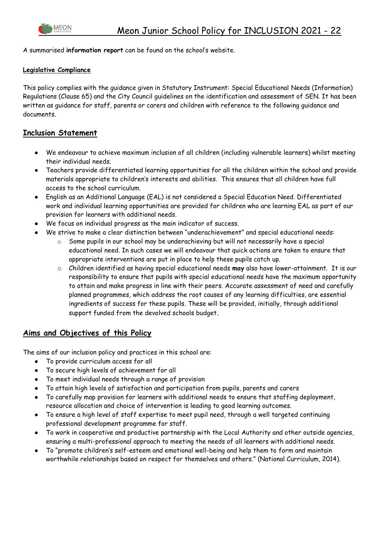

A summarised **information report** can be found on the school's website.

#### **Legislative Compliance**

This policy complies with the guidance given in Statutory Instrument: Special Educational Needs (Information) Regulations (Clause 65) and the City Council guidelines on the identification and assessment of SEN. It has been written as guidance for staff, parents or carers and children with reference to the following guidance and documents.

#### **Inclusion Statement**

- We endeavour to achieve maximum inclusion of all children (including vulnerable learners) whilst meeting their individual needs.
- Teachers provide differentiated learning opportunities for all the children within the school and provide materials appropriate to children's interests and abilities. This ensures that all children have full access to the school curriculum.
- English as an Additional Language (EAL) is not considered a Special Education Need. Differentiated work and individual learning opportunities are provided for children who are learning EAL as part of our provision for learners with additional needs.
- We focus on individual progress as the main indicator of success.
- We strive to make a clear distinction between "underachievement" and special educational needs:
	- $\circ$  Some pupils in our school may be underachieving but will not necessarily have a special educational need. In such cases we will endeavour that quick actions are taken to ensure that appropriate interventions are put in place to help these pupils catch up.
	- o Children identified as having special educational needs **may** also have lower-attainment. It is our responsibility to ensure that pupils with special educational needs have the maximum opportunity to attain and make progress in line with their peers. Accurate assessment of need and carefully planned programmes, which address the root causes of any learning difficulties, are essential ingredients of success for these pupils. These will be provided, initially, through additional support funded from the devolved schools budget.

### **Aims and Objectives of this Policy**

The aims of our inclusion policy and practices in this school are:

- To provide curriculum access for all
- To secure high levels of achievement for all
- To meet individual needs through a range of provision
- To attain high levels of satisfaction and participation from pupils, parents and carers
- To carefully map provision for learners with additional needs to ensure that staffing deployment, resource allocation and choice of intervention is leading to good learning outcomes.
- To ensure a high level of staff expertise to meet pupil need, through a well targeted continuing professional development programme for staff.
- To work in cooperative and productive partnership with the Local Authority and other outside agencies, ensuring a multi-professional approach to meeting the needs of all learners with additional needs.
- To "promote children's self-esteem and emotional well-being and help them to form and maintain worthwhile relationships based on respect for themselves and others." (National Curriculum, 2014).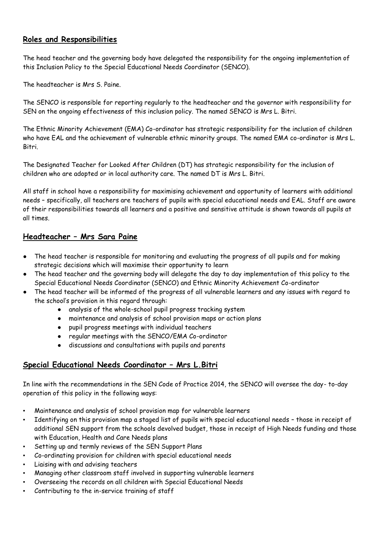### **Roles and Responsibilities**

The head teacher and the governing body have delegated the responsibility for the ongoing implementation of this Inclusion Policy to the Special Educational Needs Coordinator (SENCO).

The headteacher is Mrs S. Paine.

The SENCO is responsible for reporting regularly to the headteacher and the governor with responsibility for SEN on the ongoing effectiveness of this inclusion policy. The named SENCO is Mrs L. Bitri.

The Ethnic Minority Achievement (EMA) Co-ordinator has strategic responsibility for the inclusion of children who have EAL and the achievement of vulnerable ethnic minority groups. The named EMA co-ordinator is Mrs L. Bitri.

The Designated Teacher for Looked After Children (DT) has strategic responsibility for the inclusion of children who are adopted or in local authority care. The named DT is Mrs L. Bitri.

All staff in school have a responsibility for maximising achievement and opportunity of learners with additional needs – specifically, all teachers are teachers of pupils with special educational needs and EAL. Staff are aware of their responsibilities towards all learners and a positive and sensitive attitude is shown towards all pupils at all times.

### **Headteacher – Mrs Sara Paine**

- The head teacher is responsible for monitoring and evaluating the progress of all pupils and for making strategic decisions which will maximise their opportunity to learn
- The head teacher and the governing body will delegate the day to day implementation of this policy to the Special Educational Needs Coordinator (SENCO) and Ethnic Minority Achievement Co-ordinator
- The head teacher will be informed of the progress of all vulnerable learners and any issues with regard to the school's provision in this regard through:
	- analysis of the whole-school pupil progress tracking system
	- maintenance and analysis of school provision maps or action plans
	- pupil progress meetings with individual teachers
	- regular meetings with the SENCO/EMA Co-ordinator
	- discussions and consultations with pupils and parents

#### **Special Educational Needs Coordinator – Mrs L.Bitri**

In line with the recommendations in the SEN Code of Practice 2014, the SENCO will oversee the day- to-day operation of this policy in the following ways:

- Maintenance and analysis of school provision map for vulnerable learners
- Identifying on this provision map a staged list of pupils with special educational needs those in receipt of additional SEN support from the schools devolved budget, those in receipt of High Needs funding and those with Education, Health and Care Needs plans
- Setting up and termly reviews of the SEN Support Plans
- Co-ordinating provision for children with special educational needs
- Liaising with and advising teachers
- Managing other classroom staff involved in supporting vulnerable learners
- Overseeing the records on all children with Special Educational Needs
- Contributing to the in-service training of staff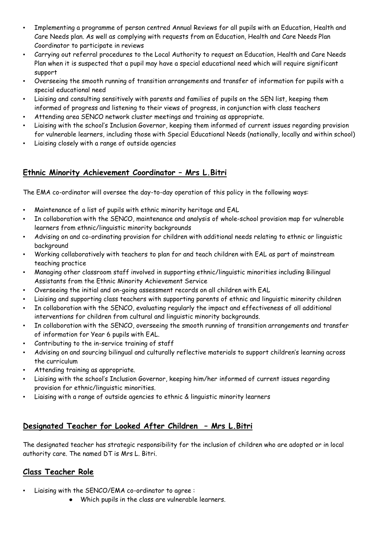- Implementing a programme of person centred Annual Reviews for all pupils with an Education, Health and Care Needs plan. As well as complying with requests from an Education, Health and Care Needs Plan Coordinator to participate in reviews
- Carrying out referral procedures to the Local Authority to request an Education, Health and Care Needs Plan when it is suspected that a pupil may have a special educational need which will require significant support
- Overseeing the smooth running of transition arrangements and transfer of information for pupils with a special educational need
- Liaising and consulting sensitively with parents and families of pupils on the SEN list, keeping them informed of progress and listening to their views of progress, in conjunction with class teachers
- Attending area SENCO network cluster meetings and training as appropriate.
- Liaising with the school's Inclusion Governor, keeping them informed of current issues regarding provision for vulnerable learners, including those with Special Educational Needs (nationally, locally and within school)
- Liaising closely with a range of outside agencies

### **Ethnic Minority Achievement Coordinator – Mrs L.Bitri**

The EMA co-ordinator will oversee the day-to-day operation of this policy in the following ways:

- Maintenance of a list of pupils with ethnic minority heritage and EAL
- In collaboration with the SENCO, maintenance and analysis of whole-school provision map for vulnerable learners from ethnic/linguistic minority backgrounds
- Advising on and co-ordinating provision for children with additional needs relating to ethnic or linguistic background
- Working collaboratively with teachers to plan for and teach children with EAL as part of mainstream teaching practice
- Managing other classroom staff involved in supporting ethnic/linguistic minorities including Bilingual Assistants from the Ethnic Minority Achievement Service
- Overseeing the initial and on-going assessment records on all children with EAL
- Liaising and supporting class teachers with supporting parents of ethnic and linguistic minority children
- In collaboration with the SENCO, evaluating regularly the impact and effectiveness of all additional interventions for children from cultural and linguistic minority backgrounds.
- In collaboration with the SENCO, overseeing the smooth running of transition arrangements and transfer of information for Year 6 pupils with EAL.
- Contributing to the in-service training of staff
- Advising on and sourcing bilingual and culturally reflective materials to support children's learning across the curriculum
- Attending training as appropriate.
- Liaising with the school's Inclusion Governor, keeping him/her informed of current issues regarding provision for ethnic/linguistic minorities.
- Liaising with a range of outside agencies to ethnic & linguistic minority learners

### **Designated Teacher for Looked After Children – Mrs L.Bitri**

The designated teacher has strategic responsibility for the inclusion of children who are adopted or in local authority care. The named DT is Mrs L. Bitri.

### **Class Teacher Role**

- Liaising with the SENCO/EMA co-ordinator to agree :
	- Which pupils in the class are vulnerable learners.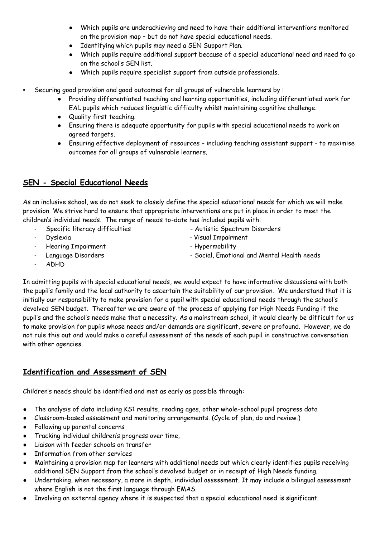- Which pupils are underachieving and need to have their additional interventions monitored on the provision map – but do not have special educational needs.
- Identifying which pupils may need a SEN Support Plan.
- Which pupils require additional support because of a special educational need and need to go on the school's SEN list.
- Which pupils require specialist support from outside professionals.

Securing good provision and good outcomes for all groups of vulnerable learners by :

- Providing differentiated teaching and learning opportunities, including differentiated work for EAL pupils which reduces linguistic difficulty whilst maintaining cognitive challenge.
- Quality first teaching.
- Ensuring there is adequate opportunity for pupils with special educational needs to work on agreed targets.
- Ensuring effective deployment of resources including teaching assistant support to maximise outcomes for all groups of vulnerable learners.

### **SEN - Special Educational Needs**

As an inclusive school, we do not seek to closely define the special educational needs for which we will make provision. We strive hard to ensure that appropriate interventions are put in place in order to meet the children's individual needs. The range of needs to-date has included pupils with:

- Specific literacy difficulties Autistic Spectrum Disorders
- 
- Hearing Impairment **Figure 2018** Hypermobility
- 
- Dyslexia Visual Impairment
	-
- Language Disorders Social, Emotional and Mental Health needs
- ADHD

In admitting pupils with special educational needs, we would expect to have informative discussions with both the pupil's family and the local authority to ascertain the suitability of our provision. We understand that it is initially our responsibility to make provision for a pupil with special educational needs through the school's devolved SEN budget. Thereafter we are aware of the process of applying for High Needs Funding if the pupil's and the school's needs make that a necessity. As a mainstream school, it would clearly be difficult for us to make provision for pupils whose needs and/or demands are significant, severe or profound. However, we do not rule this out and would make a careful assessment of the needs of each pupil in constructive conversation with other agencies.

### **Identification and Assessment of SEN**

Children's needs should be identified and met as early as possible through:

- The analysis of data including KS1 results, reading ages, other whole-school pupil progress data
- Classroom-based assessment and monitoring arrangements. (Cycle of plan, do and review.)
- Following up parental concerns
- Tracking individual children's progress over time,
- Liaison with feeder schools on transfer
- Information from other services
- Maintaining a provision map for learners with additional needs but which clearly identifies pupils receiving additional SEN Support from the school's devolved budget or in receipt of High Needs funding.
- Undertaking, when necessary, a more in depth, individual assessment. It may include a bilingual assessment where English is not the first language through EMAS.
- Involving an external agency where it is suspected that a special educational need is significant.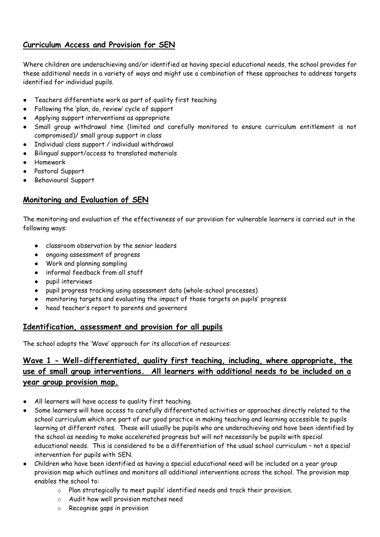### **Curriculum Access and Provision for SEN**

Where children are underachieving and/or identified as having special educational needs, the school provides for these additional needs in a variety of ways and might use a combination of these approaches to address targets identified for individual pupils.

- Teachers differentiate work as part of quality first teaching
- Following the 'plan, do, review' cycle of support
- Applying support interventions as appropriate
- Small group withdrawal time (limited and carefully monitored to ensure curriculum entitlement is not compromised)/ small group support in class
- Individual class support / individual withdrawal
- Bilingual support/access to translated materials
- **Homework**
- Pastoral Support
- Behavioural Support

### **Monitoring and Evaluation of SEN**

The monitoring and evaluation of the effectiveness of our provision for vulnerable learners is carried out in the following ways:

- classroom observation by the senior leaders
- ongoing assessment of progress
- Work and planning sampling
- informal feedback from all staff
- pupil interviews
- pupil progress tracking using assessment data (whole-school processes)
- monitoring targets and evaluating the impact of those targets on pupils' progress
- head teacher's report to parents and governors

#### **Identification, assessment and provision for all pupils**

The school adopts the 'Wave' approach for its allocation of resources:

## **Wave 1 - Well-differentiated, quality first teaching, including, where appropriate, the use of small group interventions. All learners with additional needs to be included on a year group provision map.**

- All learners will have access to quality first teaching.
- Some learners will have access to carefully differentiated activities or approaches directly related to the school curriculum which are part of our good practice in making teaching and learning accessible to pupils learning at different rates. These will usually be pupils who are underachieving and have been identified by the school as needing to make accelerated progress but will not necessarily be pupils with special educational needs. This is considered to be a differentiation of the usual school curriculum – not a special intervention for pupils with SEN.
- Children who have been identified as having a special educational need will be included on a year group provision map which outlines and monitors all additional interventions across the school. The provision map enables the school to:
	- o Plan strategically to meet pupils' identified needs and track their provision.
	- o Audit how well provision matches need
	- o Recognise gaps in provision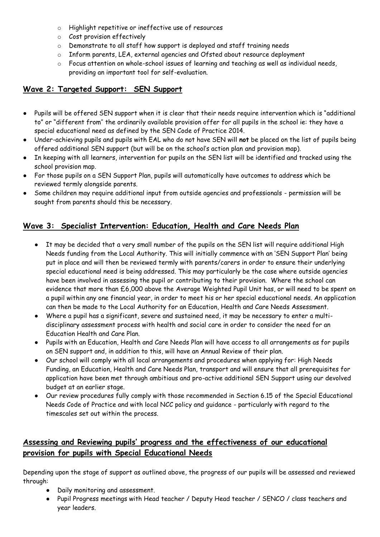- o Highlight repetitive or ineffective use of resources
- o Cost provision effectively
- o Demonstrate to all staff how support is deployed and staff training needs
- o Inform parents, LEA, external agencies and Ofsted about resource deployment
- o Focus attention on whole-school issues of learning and teaching as well as individual needs, providing an important tool for self-evaluation.

### **Wave 2: Targeted Support: SEN Support**

- Pupils will be offered SEN support when it is clear that their needs require intervention which is "additional to" or "different from'' the ordinarily available provision offer for all pupils in the school ie: they have a special educational need as defined by the SEN Code of Practice 2014.
- Under-achieving pupils and pupils with EAL who do not have SEN will **not** be placed on the list of pupils being offered additional SEN support (but will be on the school's action plan and provision map).
- In keeping with all learners, intervention for pupils on the SEN list will be identified and tracked using the school provision map.
- For those pupils on a SEN Support Plan, pupils will automatically have outcomes to address which be reviewed termly alongside parents.
- Some children may require additional input from outside agencies and professionals permission will be sought from parents should this be necessary.

### **Wave 3: Specialist Intervention: Education, Health and Care Needs Plan**

- It may be decided that a very small number of the pupils on the SEN list will require additional High Needs funding from the Local Authority. This will initially commence with an 'SEN Support Plan' being put in place and will then be reviewed termly with parents/carers in order to ensure their underlying special educational need is being addressed. This may particularly be the case where outside agencies have been involved in assessing the pupil or contributing to their provision. Where the school can evidence that more than £6,000 above the Average Weighted Pupil Unit has, or will need to be spent on a pupil within any one financial year, in order to meet his or her special educational needs. An application can then be made to the Local Authority for an Education, Health and Care Needs Assessment.
- Where a pupil has a significant, severe and sustained need, it may be necessary to enter a multidisciplinary assessment process with health and social care in order to consider the need for an Education Health and Care Plan.
- Pupils with an Education, Health and Care Needs Plan will have access to all arrangements as for pupils on SEN support and, in addition to this, will have an Annual Review of their plan.
- Our school will comply with all local arrangements and procedures when applying for: High Needs Funding, an Education, Health and Care Needs Plan, transport and will ensure that all prerequisites for application have been met through ambitious and pro-active additional SEN Support using our devolved budget at an earlier stage.
- Our review procedures fully comply with those recommended in Section 6.15 of the Special Educational Needs Code of Practice and with local NCC policy and guidance - particularly with regard to the timescales set out within the process.

## **Assessing and Reviewing pupils' progress and the effectiveness of our educational provision for pupils with Special Educational Needs**

Depending upon the stage of support as outlined above, the progress of our pupils will be assessed and reviewed through:

- Daily monitoring and assessment.
- Pupil Progress meetings with Head teacher / Deputy Head teacher / SENCO / class teachers and year leaders.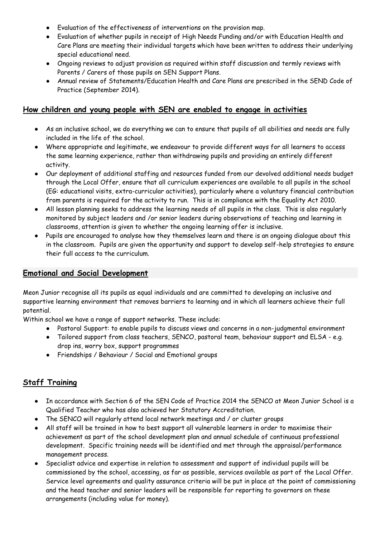- Evaluation of the effectiveness of interventions on the provision map.
- Evaluation of whether pupils in receipt of High Needs Funding and/or with Education Health and Care Plans are meeting their individual targets which have been written to address their underlying special educational need.
- Ongoing reviews to adjust provision as required within staff discussion and termly reviews with Parents / Carers of those pupils on SEN Support Plans.
- Annual review of Statements/Education Health and Care Plans are prescribed in the SEND Code of Practice (September 2014).

#### **How children and young people with SEN are enabled to engage in activities**

- As an inclusive school, we do everything we can to ensure that pupils of all abilities and needs are fully included in the life of the school.
- Where appropriate and legitimate, we endeavour to provide different ways for all learners to access the same learning experience, rather than withdrawing pupils and providing an entirely different activity.
- Our deployment of additional staffing and resources funded from our devolved additional needs budget through the Local Offer, ensure that all curriculum experiences are available to all pupils in the school (EG: educational visits, extra-curricular activities), particularly where a voluntary financial contribution from parents is required for the activity to run. This is in compliance with the Equality Act 2010.
- All lesson planning seeks to address the learning needs of all pupils in the class. This is also regularly monitored by subject leaders and /or senior leaders during observations of teaching and learning in classrooms, attention is given to whether the ongoing learning offer is inclusive.
- Pupils are encouraged to analyse how they themselves learn and there is an ongoing dialogue about this in the classroom. Pupils are given the opportunity and support to develop self-help strategies to ensure their full access to the curriculum.

#### **Emotional and Social Development**

Meon Junior recognise all its pupils as equal individuals and are committed to developing an inclusive and supportive learning environment that removes barriers to learning and in which all learners achieve their full potential.

Within school we have a range of support networks. These include:

- Pastoral Support: to enable pupils to discuss views and concerns in a non-judgmental environment
- Tailored support from class teachers, SENCO, pastoral team, behaviour support and ELSA e.g. drop ins, worry box, support programmes
- Friendships / Behaviour / Social and Emotional groups

### **Staff Training**

- In accordance with Section 6 of the SEN Code of Practice 2014 the SENCO at Meon Junior School is a Qualified Teacher who has also achieved her Statutory Accreditation.
- The SENCO will regularly attend local network meetings and / or cluster groups
- All staff will be trained in how to best support all vulnerable learners in order to maximise their achievement as part of the school development plan and annual schedule of continuous professional development. Specific training needs will be identified and met through the appraisal/performance management process.
- Specialist advice and expertise in relation to assessment and support of individual pupils will be commissioned by the school, accessing, as far as possible, services available as part of the Local Offer. Service level agreements and quality assurance criteria will be put in place at the point of commissioning and the head teacher and senior leaders will be responsible for reporting to governors on these arrangements (including value for money).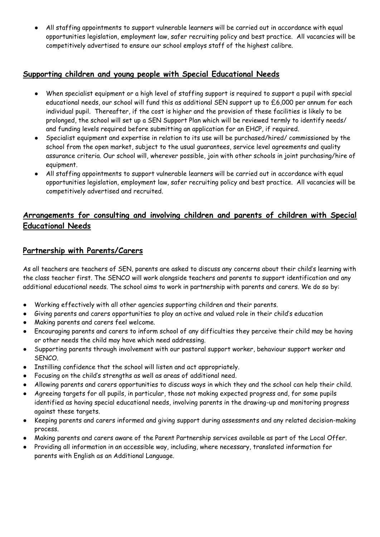● All staffing appointments to support vulnerable learners will be carried out in accordance with equal opportunities legislation, employment law, safer recruiting policy and best practice. All vacancies will be competitively advertised to ensure our school employs staff of the highest calibre.

### **Supporting children and young people with Special Educational Needs**

- When specialist equipment or a high level of staffing support is required to support a pupil with special educational needs, our school will fund this as additional SEN support up to £6,000 per annum for each individual pupil. Thereafter, if the cost is higher and the provision of these facilities is likely to be prolonged, the school will set up a SEN Support Plan which will be reviewed termly to identify needs/ and funding levels required before submitting an application for an EHCP, if required.
- Specialist equipment and expertise in relation to its use will be purchased/hired/ commissioned by the school from the open market, subject to the usual guarantees, service level agreements and quality assurance criteria. Our school will, wherever possible, join with other schools in joint purchasing/hire of equipment.
- All staffing appointments to support vulnerable learners will be carried out in accordance with equal opportunities legislation, employment law, safer recruiting policy and best practice. All vacancies will be competitively advertised and recruited.

### **Arrangements for consulting and involving children and parents of children with Special Educational Needs**

### **Partnership with Parents/Carers**

As all teachers are teachers of SEN, parents are asked to discuss any concerns about their child's learning with the class teacher first. The SENCO will work alongside teachers and parents to support identification and any additional educational needs. The school aims to work in partnership with parents and carers. We do so by:

- Working effectively with all other agencies supporting children and their parents.
- Giving parents and carers opportunities to play an active and valued role in their child's education
- Making parents and carers feel welcome.
- Encouraging parents and carers to inform school of any difficulties they perceive their child may be having or other needs the child may have which need addressing.
- Supporting parents through involvement with our pastoral support worker, behaviour support worker and SENCO.
- Instilling confidence that the school will listen and act appropriately.
- Focusing on the child's strengths as well as areas of additional need.
- Allowing parents and carers opportunities to discuss ways in which they and the school can help their child.
- Agreeing targets for all pupils, in particular, those not making expected progress and, for some pupils identified as having special educational needs, involving parents in the drawing-up and monitoring progress against these targets.
- Keeping parents and carers informed and giving support during assessments and any related decision-making process.
- Making parents and carers aware of the Parent Partnership services available as part of the Local Offer.
- Providing all information in an accessible way, including, where necessary, translated information for parents with English as an Additional Language.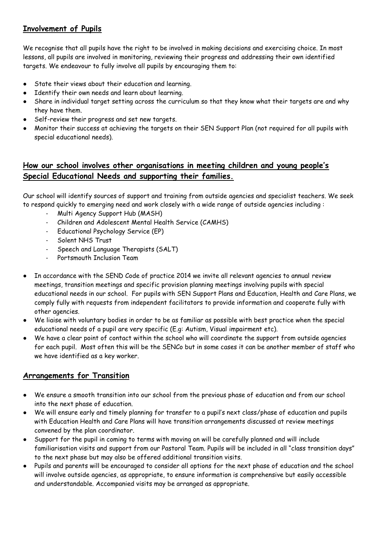### **Involvement of Pupils**

We recognise that all pupils have the right to be involved in making decisions and exercising choice. In most lessons, all pupils are involved in monitoring, reviewing their progress and addressing their own identified targets. We endeavour to fully involve all pupils by encouraging them to:

- State their views about their education and learning.
- Identify their own needs and learn about learning.
- Share in individual target setting across the curriculum so that they know what their targets are and why they have them.
- Self-review their progress and set new targets.
- Monitor their success at achieving the targets on their SEN Support Plan (not required for all pupils with special educational needs).

### **How our school involves other organisations in meeting children and young people's Special Educational Needs and supporting their families.**

Our school will identify sources of support and training from outside agencies and specialist teachers. We seek to respond quickly to emerging need and work closely with a wide range of outside agencies including :

- Multi Agency Support Hub (MASH)
- Children and Adolescent Mental Health Service (CAMHS)
- Educational Psychology Service (EP)
- Solent NHS Trust
- Speech and Language Therapists (SALT)
- Portsmouth Inclusion Team
- In accordance with the SEND Code of practice 2014 we invite all relevant agencies to annual review meetings, transition meetings and specific provision planning meetings involving pupils with special educational needs in our school. For pupils with SEN Support Plans and Education, Health and Care Plans, we comply fully with requests from independent facilitators to provide information and cooperate fully with other agencies.
- We liaise with voluntary bodies in order to be as familiar as possible with best practice when the special educational needs of a pupil are very specific (E.g: Autism, Visual impairment etc).
- We have a clear point of contact within the school who will coordinate the support from outside agencies for each pupil. Most often this will be the SENCo but in some cases it can be another member of staff who we have identified as a key worker.

### **Arrangements for Transition**

- We ensure a smooth transition into our school from the previous phase of education and from our school into the next phase of education.
- We will ensure early and timely planning for transfer to a pupil's next class/phase of education and pupils with Education Health and Care Plans will have transition arrangements discussed at review meetings convened by the plan coordinator.
- Support for the pupil in coming to terms with moving on will be carefully planned and will include familiarisation visits and support from our Pastoral Team. Pupils will be included in all "class transition days" to the next phase but may also be offered additional transition visits.
- Pupils and parents will be encouraged to consider all options for the next phase of education and the school will involve outside agencies, as appropriate, to ensure information is comprehensive but easily accessible and understandable. Accompanied visits may be arranged as appropriate.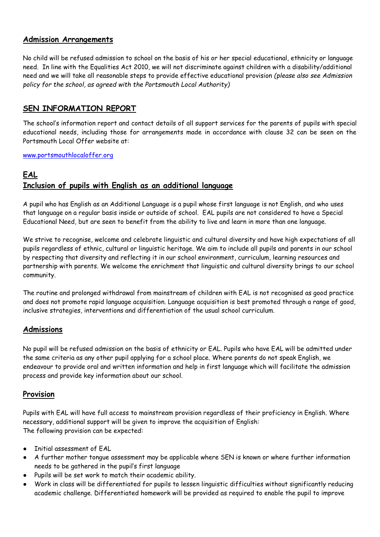#### **Admission Arrangements**

No child will be refused admission to school on the basis of his or her special educational, ethnicity or language need. In line with the Equalities Act 2010, we will not discriminate against children with a disability/additional need and we will take all reasonable steps to provide effective educational provision *(please also see Admission policy for the school, as agreed with the Portsmouth Local Authority)*

### **SEN INFORMATION REPORT**

The school's information report and contact details of all support services for the parents of pupils with special educational needs, including those for arrangements made in accordance with clause 32 can be seen on the Portsmouth Local Offer website at:

#### [www.portsmouthlocaloffer.org](http://www.portsmouthlocaloffer.org/)

# **EAL Inclusion of pupils with English as an additional language**

A pupil who has English as an Additional Language is a pupil whose first language is not English, and who uses that language on a regular basis inside or outside of school. EAL pupils are not considered to have a Special Educational Need, but are seen to benefit from the ability to live and learn in more than one language.

We strive to recognise, welcome and celebrate linguistic and cultural diversity and have high expectations of all pupils regardless of ethnic, cultural or linguistic heritage. We aim to include all pupils and parents in our school by respecting that diversity and reflecting it in our school environment, curriculum, learning resources and partnership with parents. We welcome the enrichment that linguistic and cultural diversity brings to our school community.

The routine and prolonged withdrawal from mainstream of children with EAL is not recognised as good practice and does not promote rapid language acquisition. Language acquisition is best promoted through a range of good, inclusive strategies, interventions and differentiation of the usual school curriculum.

### **Admissions**

No pupil will be refused admission on the basis of ethnicity or EAL. Pupils who have EAL will be admitted under the same criteria as any other pupil applying for a school place. Where parents do not speak English, we endeavour to provide oral and written information and help in first language which will facilitate the admission process and provide key information about our school.

### **Provision**

Pupils with EAL will have full access to mainstream provision regardless of their proficiency in English. Where necessary, additional support will be given to improve the acquisition of English: The following provision can be expected:

- Initial assessment of EAL
- A further mother tongue assessment may be applicable where SEN is known or where further information needs to be gathered in the pupil's first language
- Pupils will be set work to match their academic ability.
- Work in class will be differentiated for pupils to lessen linguistic difficulties without significantly reducing academic challenge. Differentiated homework will be provided as required to enable the pupil to improve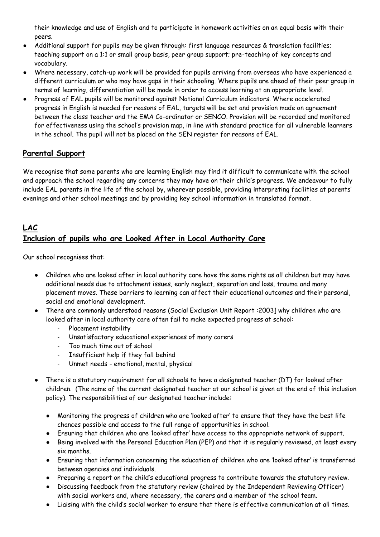their knowledge and use of English and to participate in homework activities on an equal basis with their peers.

- Additional support for pupils may be given through: first language resources & translation facilities; teaching support on a 1:1 or small group basis, peer group support; pre-teaching of key concepts and vocabulary.
- Where necessary, catch-up work will be provided for pupils arriving from overseas who have experienced a different curriculum or who may have gaps in their schooling. Where pupils are ahead of their peer group in terms of learning, differentiation will be made in order to access learning at an appropriate level.
- Progress of EAL pupils will be monitored against National Curriculum indicators. Where accelerated progress in English is needed for reasons of EAL, targets will be set and provision made on agreement between the class teacher and the EMA Co-ordinator or SENCO. Provision will be recorded and monitored for effectiveness using the school's provision map, in line with standard practice for all vulnerable learners in the school. The pupil will not be placed on the SEN register for reasons of EAL.

## **Parental Support**

We recognise that some parents who are learning English may find it difficult to communicate with the school and approach the school regarding any concerns they may have on their child's progress. We endeavour to fully include EAL parents in the life of the school by, wherever possible, providing interpreting facilities at parents' evenings and other school meetings and by providing key school information in translated format.

# **LAC Inclusion of pupils who are Looked After in Local Authority Care**

Our school recognises that:

- Children who are looked after in local authority care have the same rights as all children but may have additional needs due to attachment issues, early neglect, separation and loss, trauma and many placement moves. These barriers to learning can affect their educational outcomes and their personal, social and emotional development.
- There are commonly understood reasons (Social Exclusion Unit Report : 2003] why children who are looked after in local authority care often fail to make expected progress at school:
	- Placement instability
	- Unsatisfactory educational experiences of many carers
	- Too much time out of school
	- Insufficient help if they fall behind
	- Unmet needs emotional, mental, physical
- There is a statutory requirement for all schools to have a designated teacher (DT) for looked after children. (The name of the current designated teacher at our school is given at the end of this inclusion policy). The responsibilities of our designated teacher include:
	- Monitoring the progress of children who are 'looked after' to ensure that they have the best life chances possible and access to the full range of opportunities in school.
	- Ensuring that children who are 'looked after' have access to the appropriate network of support.
	- Being involved with the Personal Education Plan (PEP) and that it is regularly reviewed, at least every six months.
	- Ensuring that information concerning the education of children who are 'looked after' is transferred between agencies and individuals.
	- Preparing a report on the child's educational progress to contribute towards the statutory review.
	- Discussing feedback from the statutory review (chaired by the Independent Reviewing Officer) with social workers and, where necessary, the carers and a member of the school team.
	- Liaising with the child's social worker to ensure that there is effective communication at all times.